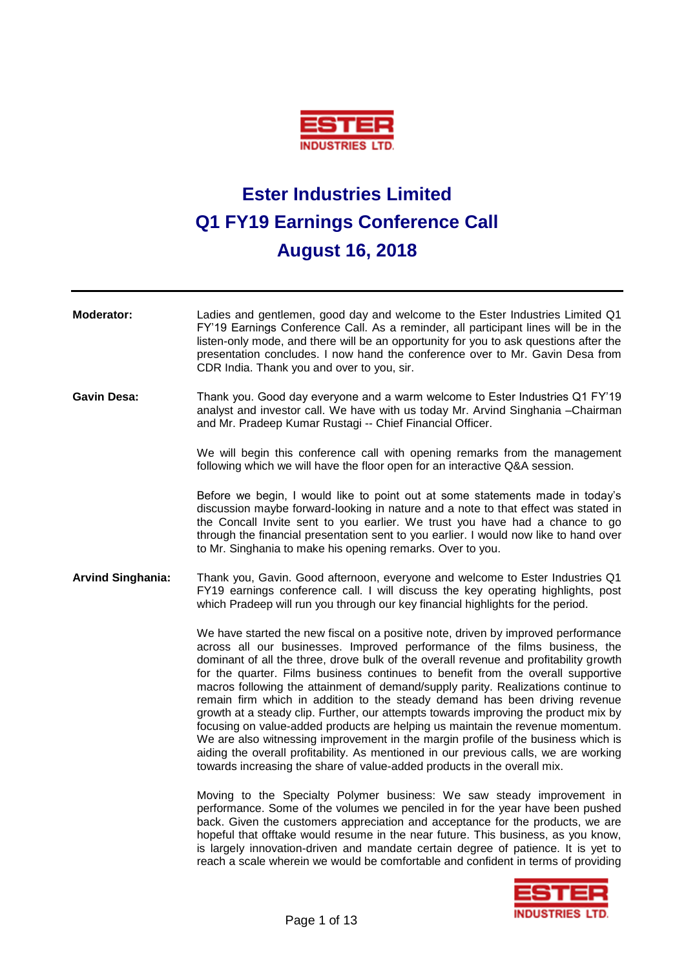

## **Ester Industries Limited Q1 FY19 Earnings Conference Call August 16, 2018**

| Moderator:               | Ladies and gentlemen, good day and welcome to the Ester Industries Limited Q1<br>FY'19 Earnings Conference Call. As a reminder, all participant lines will be in the<br>listen-only mode, and there will be an opportunity for you to ask questions after the<br>presentation concludes. I now hand the conference over to Mr. Gavin Desa from<br>CDR India. Thank you and over to you, sir.                                                                                                                                                                                                                                                                                                                                                                                                                                                                                                                                                       |
|--------------------------|----------------------------------------------------------------------------------------------------------------------------------------------------------------------------------------------------------------------------------------------------------------------------------------------------------------------------------------------------------------------------------------------------------------------------------------------------------------------------------------------------------------------------------------------------------------------------------------------------------------------------------------------------------------------------------------------------------------------------------------------------------------------------------------------------------------------------------------------------------------------------------------------------------------------------------------------------|
| <b>Gavin Desa:</b>       | Thank you. Good day everyone and a warm welcome to Ester Industries Q1 FY'19<br>analyst and investor call. We have with us today Mr. Arvind Singhania - Chairman<br>and Mr. Pradeep Kumar Rustagi -- Chief Financial Officer.                                                                                                                                                                                                                                                                                                                                                                                                                                                                                                                                                                                                                                                                                                                      |
|                          | We will begin this conference call with opening remarks from the management<br>following which we will have the floor open for an interactive Q&A session.                                                                                                                                                                                                                                                                                                                                                                                                                                                                                                                                                                                                                                                                                                                                                                                         |
|                          | Before we begin, I would like to point out at some statements made in today's<br>discussion maybe forward-looking in nature and a note to that effect was stated in<br>the Concall Invite sent to you earlier. We trust you have had a chance to go<br>through the financial presentation sent to you earlier. I would now like to hand over<br>to Mr. Singhania to make his opening remarks. Over to you.                                                                                                                                                                                                                                                                                                                                                                                                                                                                                                                                         |
| <b>Arvind Singhania:</b> | Thank you, Gavin. Good afternoon, everyone and welcome to Ester Industries Q1<br>FY19 earnings conference call. I will discuss the key operating highlights, post<br>which Pradeep will run you through our key financial highlights for the period.                                                                                                                                                                                                                                                                                                                                                                                                                                                                                                                                                                                                                                                                                               |
|                          | We have started the new fiscal on a positive note, driven by improved performance<br>across all our businesses. Improved performance of the films business, the<br>dominant of all the three, drove bulk of the overall revenue and profitability growth<br>for the quarter. Films business continues to benefit from the overall supportive<br>macros following the attainment of demand/supply parity. Realizations continue to<br>remain firm which in addition to the steady demand has been driving revenue<br>growth at a steady clip. Further, our attempts towards improving the product mix by<br>focusing on value-added products are helping us maintain the revenue momentum.<br>We are also witnessing improvement in the margin profile of the business which is<br>aiding the overall profitability. As mentioned in our previous calls, we are working<br>towards increasing the share of value-added products in the overall mix. |
|                          | Moving to the Specialty Polymer business: We saw steady improvement in<br>performance. Some of the volumes we penciled in for the year have been pushed<br>back. Given the customers appreciation and acceptance for the products, we are<br>hopeful that offtake would resume in the near future. This business, as you know,<br>is largely innovation-driven and mandate certain degree of patience. It is yet to<br>reach a scale wherein we would be comfortable and confident in terms of providing                                                                                                                                                                                                                                                                                                                                                                                                                                           |
|                          | <u>sa sana sana sana</u> i                                                                                                                                                                                                                                                                                                                                                                                                                                                                                                                                                                                                                                                                                                                                                                                                                                                                                                                         |

5 I EK **INDUSTRIES LTD.**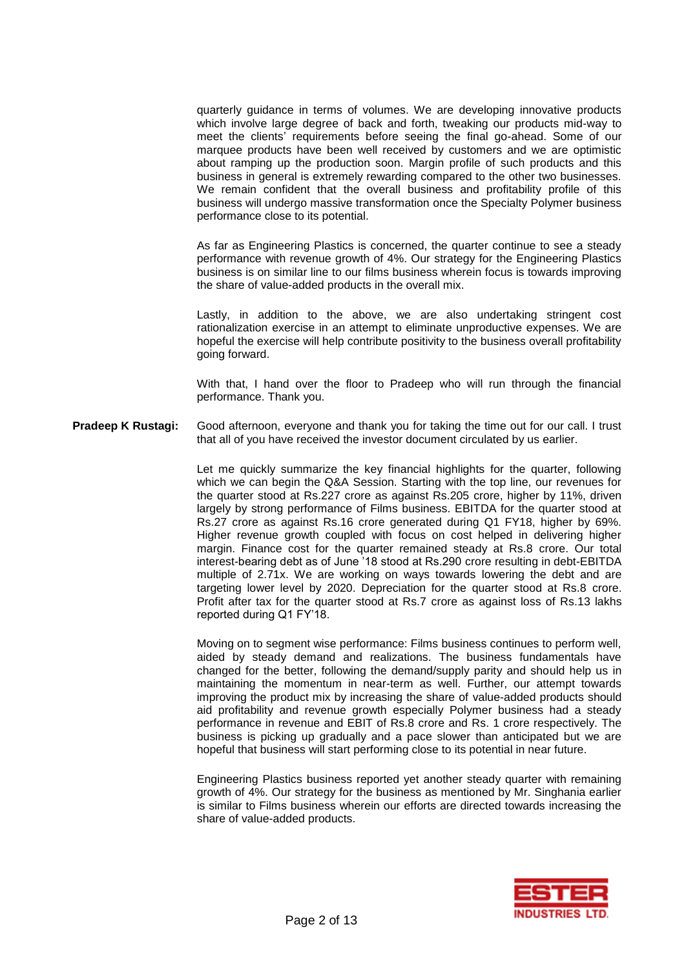quarterly guidance in terms of volumes. We are developing innovative products which involve large degree of back and forth, tweaking our products mid-way to meet the clients' requirements before seeing the final go-ahead. Some of our marquee products have been well received by customers and we are optimistic about ramping up the production soon. Margin profile of such products and this business in general is extremely rewarding compared to the other two businesses. We remain confident that the overall business and profitability profile of this business will undergo massive transformation once the Specialty Polymer business performance close to its potential.

As far as Engineering Plastics is concerned, the quarter continue to see a steady performance with revenue growth of 4%. Our strategy for the Engineering Plastics business is on similar line to our films business wherein focus is towards improving the share of value-added products in the overall mix.

Lastly, in addition to the above, we are also undertaking stringent cost rationalization exercise in an attempt to eliminate unproductive expenses. We are hopeful the exercise will help contribute positivity to the business overall profitability going forward.

With that, I hand over the floor to Pradeep who will run through the financial performance. Thank you.

**Pradeep K Rustagi:** Good afternoon, everyone and thank you for taking the time out for our call. I trust that all of you have received the investor document circulated by us earlier.

> Let me quickly summarize the key financial highlights for the quarter, following which we can begin the Q&A Session. Starting with the top line, our revenues for the quarter stood at Rs.227 crore as against Rs.205 crore, higher by 11%, driven largely by strong performance of Films business. EBITDA for the quarter stood at Rs.27 crore as against Rs.16 crore generated during Q1 FY18, higher by 69%. Higher revenue growth coupled with focus on cost helped in delivering higher margin. Finance cost for the quarter remained steady at Rs.8 crore. Our total interest-bearing debt as of June '18 stood at Rs.290 crore resulting in debt-EBITDA multiple of 2.71x. We are working on ways towards lowering the debt and are targeting lower level by 2020. Depreciation for the quarter stood at Rs.8 crore. Profit after tax for the quarter stood at Rs.7 crore as against loss of Rs.13 lakhs reported during Q1 FY'18.

> Moving on to segment wise performance: Films business continues to perform well, aided by steady demand and realizations. The business fundamentals have changed for the better, following the demand/supply parity and should help us in maintaining the momentum in near-term as well. Further, our attempt towards improving the product mix by increasing the share of value-added products should aid profitability and revenue growth especially Polymer business had a steady performance in revenue and EBIT of Rs.8 crore and Rs. 1 crore respectively. The business is picking up gradually and a pace slower than anticipated but we are hopeful that business will start performing close to its potential in near future.

> Engineering Plastics business reported yet another steady quarter with remaining growth of 4%. Our strategy for the business as mentioned by Mr. Singhania earlier is similar to Films business wherein our efforts are directed towards increasing the share of value-added products.

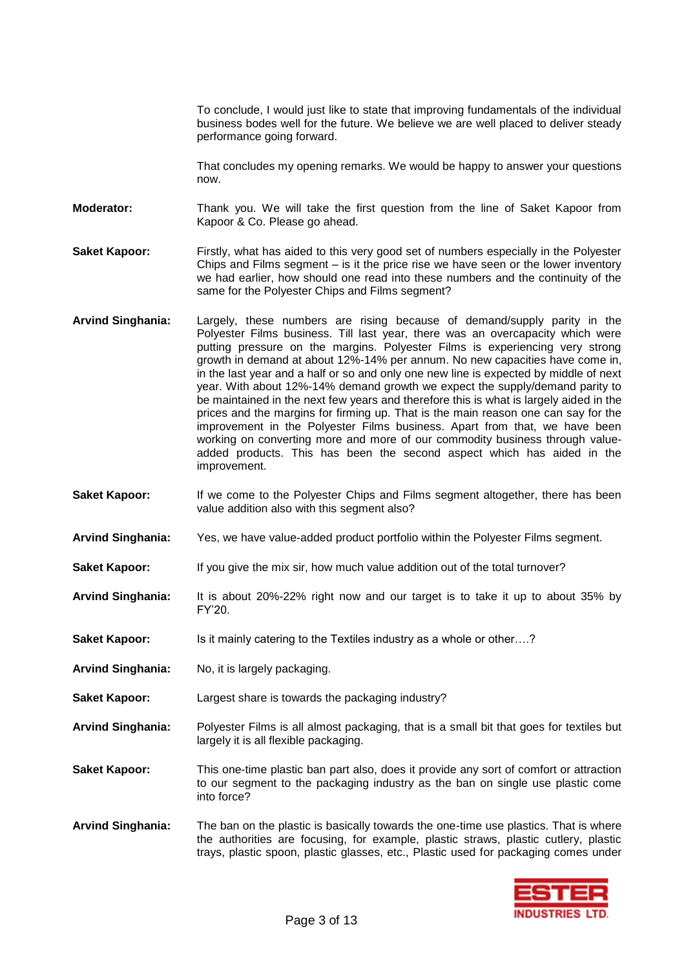To conclude, I would just like to state that improving fundamentals of the individual business bodes well for the future. We believe we are well placed to deliver steady performance going forward.

That concludes my opening remarks. We would be happy to answer your questions now.

**Moderator:** Thank you. We will take the first question from the line of Saket Kapoor from Kapoor & Co. Please go ahead.

**Saket Kapoor:** Firstly, what has aided to this very good set of numbers especially in the Polyester Chips and Films segment – is it the price rise we have seen or the lower inventory we had earlier, how should one read into these numbers and the continuity of the same for the Polyester Chips and Films segment?

- **Arvind Singhania:** Largely, these numbers are rising because of demand/supply parity in the Polyester Films business. Till last year, there was an overcapacity which were putting pressure on the margins. Polyester Films is experiencing very strong growth in demand at about 12%-14% per annum. No new capacities have come in, in the last year and a half or so and only one new line is expected by middle of next year. With about 12%-14% demand growth we expect the supply/demand parity to be maintained in the next few years and therefore this is what is largely aided in the prices and the margins for firming up. That is the main reason one can say for the improvement in the Polyester Films business. Apart from that, we have been working on converting more and more of our commodity business through valueadded products. This has been the second aspect which has aided in the improvement.
- **Saket Kapoor:** If we come to the Polyester Chips and Films segment altogether, there has been value addition also with this segment also?
- **Arvind Singhania:** Yes, we have value-added product portfolio within the Polyester Films segment.
- **Saket Kapoor:** If you give the mix sir, how much value addition out of the total turnover?
- **Arvind Singhania:** It is about 20%-22% right now and our target is to take it up to about 35% by FY'20.
- **Saket Kapoor:** Is it mainly catering to the Textiles industry as a whole or other....?
- **Arvind Singhania:** No, it is largely packaging.
- **Saket Kapoor:** Largest share is towards the packaging industry?
- **Arvind Singhania:** Polyester Films is all almost packaging, that is a small bit that goes for textiles but largely it is all flexible packaging.
- **Saket Kapoor:** This one-time plastic ban part also, does it provide any sort of comfort or attraction to our segment to the packaging industry as the ban on single use plastic come into force?
- **Arvind Singhania:** The ban on the plastic is basically towards the one-time use plastics. That is where the authorities are focusing, for example, plastic straws, plastic cutlery, plastic trays, plastic spoon, plastic glasses, etc., Plastic used for packaging comes under

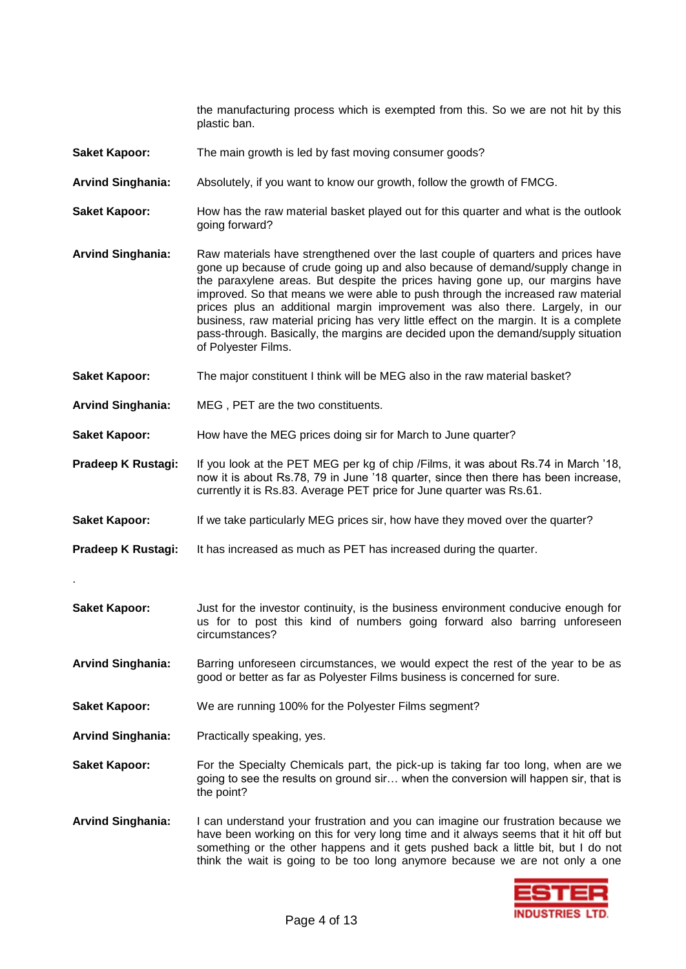the manufacturing process which is exempted from this. So we are not hit by this plastic ban.

- Saket Kapoor: The main growth is led by fast moving consumer goods?
- **Arvind Singhania:** Absolutely, if you want to know our growth, follow the growth of FMCG.
- **Saket Kapoor:** How has the raw material basket played out for this quarter and what is the outlook going forward?
- **Arvind Singhania:** Raw materials have strengthened over the last couple of quarters and prices have gone up because of crude going up and also because of demand/supply change in the paraxylene areas. But despite the prices having gone up, our margins have improved. So that means we were able to push through the increased raw material prices plus an additional margin improvement was also there. Largely, in our business, raw material pricing has very little effect on the margin. It is a complete pass-through. Basically, the margins are decided upon the demand/supply situation of Polyester Films.
- **Saket Kapoor:** The major constituent I think will be MEG also in the raw material basket?
- **Arvind Singhania:** MEG , PET are the two constituents.
- **Saket Kapoor:** How have the MEG prices doing sir for March to June quarter?
- **Pradeep K Rustagi:** If you look at the PET MEG per kg of chip /Films, it was about Rs.74 in March '18, now it is about Rs.78, 79 in June '18 quarter, since then there has been increase, currently it is Rs.83. Average PET price for June quarter was Rs.61.
- **Saket Kapoor:** If we take particularly MEG prices sir, how have they moved over the quarter?
- **Pradeep K Rustagi:** It has increased as much as PET has increased during the quarter.
- **Saket Kapoor:** Just for the investor continuity, is the business environment conducive enough for us for to post this kind of numbers going forward also barring unforeseen circumstances?
- **Arvind Singhania:** Barring unforeseen circumstances, we would expect the rest of the year to be as good or better as far as Polyester Films business is concerned for sure.
- **Saket Kapoor:** We are running 100% for the Polyester Films segment?
- **Arvind Singhania:** Practically speaking, yes.

.

- **Saket Kapoor:** For the Specialty Chemicals part, the pick-up is taking far too long, when are we going to see the results on ground sir… when the conversion will happen sir, that is the point?
- **Arvind Singhania:** I can understand your frustration and you can imagine our frustration because we have been working on this for very long time and it always seems that it hit off but something or the other happens and it gets pushed back a little bit, but I do not think the wait is going to be too long anymore because we are not only a one

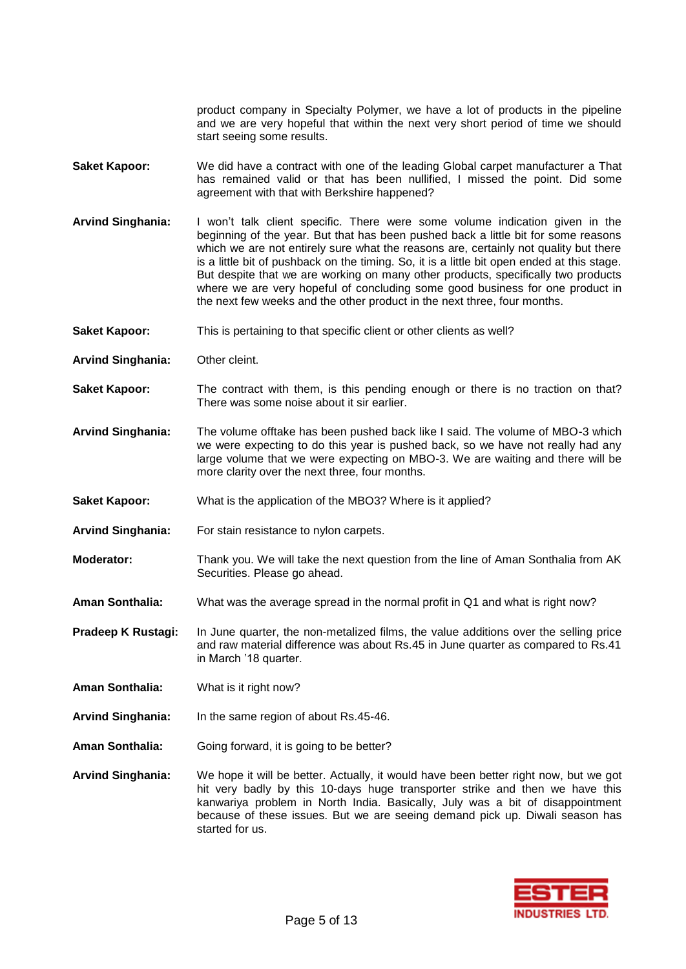product company in Specialty Polymer, we have a lot of products in the pipeline and we are very hopeful that within the next very short period of time we should start seeing some results.

- **Saket Kapoor:** We did have a contract with one of the leading Global carpet manufacturer a That has remained valid or that has been nullified, I missed the point. Did some agreement with that with Berkshire happened?
- **Arvind Singhania:** I won't talk client specific. There were some volume indication given in the beginning of the year. But that has been pushed back a little bit for some reasons which we are not entirely sure what the reasons are, certainly not quality but there is a little bit of pushback on the timing. So, it is a little bit open ended at this stage. But despite that we are working on many other products, specifically two products where we are very hopeful of concluding some good business for one product in the next few weeks and the other product in the next three, four months.
- **Saket Kapoor:** This is pertaining to that specific client or other clients as well?
- **Arvind Singhania:** Other cleint.
- **Saket Kapoor:** The contract with them, is this pending enough or there is no traction on that? There was some noise about it sir earlier.
- **Arvind Singhania:** The volume offtake has been pushed back like I said. The volume of MBO-3 which we were expecting to do this year is pushed back, so we have not really had any large volume that we were expecting on MBO-3. We are waiting and there will be more clarity over the next three, four months.
- **Saket Kapoor:** What is the application of the MBO3? Where is it applied?
- **Arvind Singhania:** For stain resistance to nylon carpets.
- **Moderator:** Thank you. We will take the next question from the line of Aman Sonthalia from AK Securities. Please go ahead.
- **Aman Sonthalia:** What was the average spread in the normal profit in Q1 and what is right now?
- **Pradeep K Rustagi:** In June quarter, the non-metalized films, the value additions over the selling price and raw material difference was about Rs.45 in June quarter as compared to Rs.41 in March '18 quarter.
- **Aman Sonthalia:** What is it right now?
- **Arvind Singhania:** In the same region of about Rs.45-46.
- **Aman Sonthalia:** Going forward, it is going to be better?
- **Arvind Singhania:** We hope it will be better. Actually, it would have been better right now, but we got hit very badly by this 10-days huge transporter strike and then we have this kanwariya problem in North India. Basically, July was a bit of disappointment because of these issues. But we are seeing demand pick up. Diwali season has started for us.

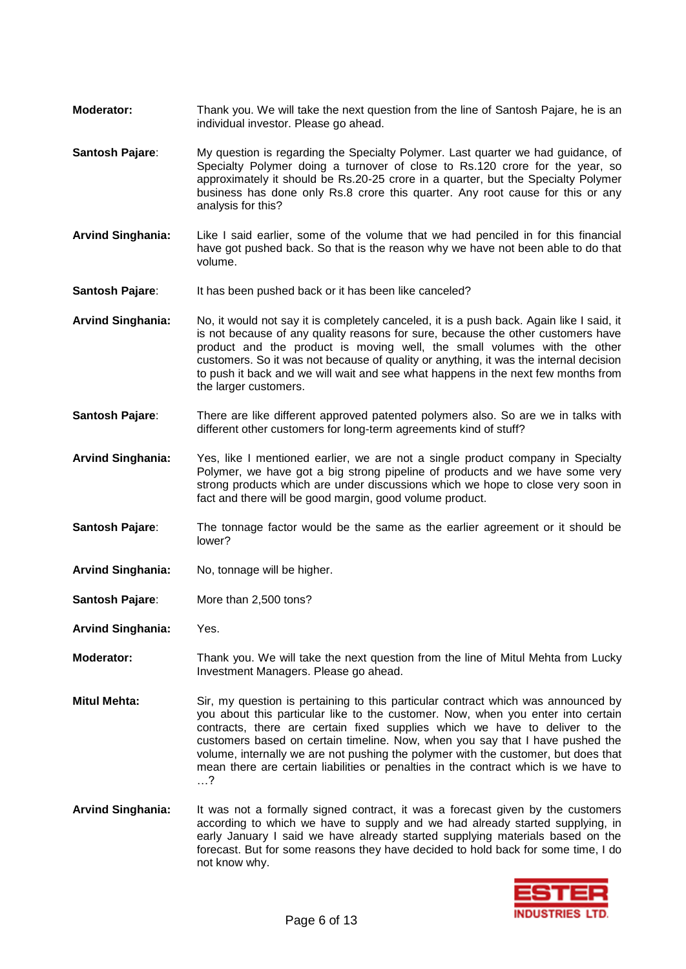- **Moderator:** Thank you. We will take the next question from the line of Santosh Pajare, he is an individual investor. Please go ahead.
- **Santosh Pajare**: My question is regarding the Specialty Polymer. Last quarter we had guidance, of Specialty Polymer doing a turnover of close to Rs.120 crore for the year, so approximately it should be Rs.20-25 crore in a quarter, but the Specialty Polymer business has done only Rs.8 crore this quarter. Any root cause for this or any analysis for this?
- **Arvind Singhania:** Like I said earlier, some of the volume that we had penciled in for this financial have got pushed back. So that is the reason why we have not been able to do that volume.
- **Santosh Pajare:** It has been pushed back or it has been like canceled?
- **Arvind Singhania:** No, it would not say it is completely canceled, it is a push back. Again like I said, it is not because of any quality reasons for sure, because the other customers have product and the product is moving well, the small volumes with the other customers. So it was not because of quality or anything, it was the internal decision to push it back and we will wait and see what happens in the next few months from the larger customers.
- **Santosh Pajare:** There are like different approved patented polymers also. So are we in talks with different other customers for long-term agreements kind of stuff?
- **Arvind Singhania:** Yes, like I mentioned earlier, we are not a single product company in Specialty Polymer, we have got a big strong pipeline of products and we have some very strong products which are under discussions which we hope to close very soon in fact and there will be good margin, good volume product.
- **Santosh Pajare:** The tonnage factor would be the same as the earlier agreement or it should be lower?
- **Arvind Singhania:** No, tonnage will be higher.
- **Santosh Pajare**: More than 2,500 tons?
- **Arvind Singhania:** Yes.
- **Moderator:** Thank you. We will take the next question from the line of Mitul Mehta from Lucky Investment Managers. Please go ahead.
- **Mitul Mehta:** Sir, my question is pertaining to this particular contract which was announced by you about this particular like to the customer. Now, when you enter into certain contracts, there are certain fixed supplies which we have to deliver to the customers based on certain timeline. Now, when you say that I have pushed the volume, internally we are not pushing the polymer with the customer, but does that mean there are certain liabilities or penalties in the contract which is we have to …?
- **Arvind Singhania:** It was not a formally signed contract, it was a forecast given by the customers according to which we have to supply and we had already started supplying, in early January I said we have already started supplying materials based on the forecast. But for some reasons they have decided to hold back for some time, I do not know why.

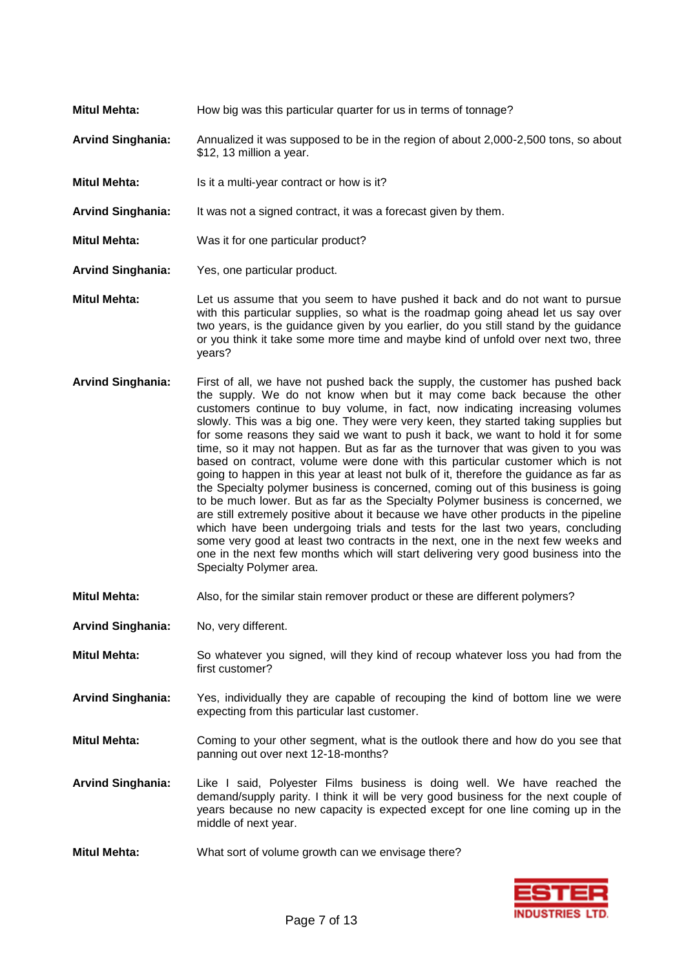- **Mitul Mehta:** How big was this particular quarter for us in terms of tonnage? **Arvind Singhania:** Annualized it was supposed to be in the region of about 2,000-2,500 tons, so about \$12, 13 million a year.
- **Mitul Mehta:** Is it a multi-year contract or how is it?
- **Arvind Singhania:** It was not a signed contract, it was a forecast given by them.
- **Mitul Mehta:** Was it for one particular product?
- **Arvind Singhania:** Yes, one particular product.
- **Mitul Mehta:** Let us assume that you seem to have pushed it back and do not want to pursue with this particular supplies, so what is the roadmap going ahead let us say over two years, is the guidance given by you earlier, do you still stand by the guidance or you think it take some more time and maybe kind of unfold over next two, three years?
- **Arvind Singhania:** First of all, we have not pushed back the supply, the customer has pushed back the supply. We do not know when but it may come back because the other customers continue to buy volume, in fact, now indicating increasing volumes slowly. This was a big one. They were very keen, they started taking supplies but for some reasons they said we want to push it back, we want to hold it for some time, so it may not happen. But as far as the turnover that was given to you was based on contract, volume were done with this particular customer which is not going to happen in this year at least not bulk of it, therefore the guidance as far as the Specialty polymer business is concerned, coming out of this business is going to be much lower. But as far as the Specialty Polymer business is concerned, we are still extremely positive about it because we have other products in the pipeline which have been undergoing trials and tests for the last two years, concluding some very good at least two contracts in the next, one in the next few weeks and one in the next few months which will start delivering very good business into the Specialty Polymer area.
- **Mitul Mehta:** Also, for the similar stain remover product or these are different polymers?
- **Arvind Singhania:** No, very different.
- **Mitul Mehta:** So whatever you signed, will they kind of recoup whatever loss you had from the first customer?
- **Arvind Singhania:** Yes, individually they are capable of recouping the kind of bottom line we were expecting from this particular last customer.
- **Mitul Mehta:** Coming to your other segment, what is the outlook there and how do you see that panning out over next 12-18-months?
- **Arvind Singhania:** Like I said, Polyester Films business is doing well. We have reached the demand/supply parity. I think it will be very good business for the next couple of years because no new capacity is expected except for one line coming up in the middle of next year.
- **Mitul Mehta:** What sort of volume growth can we envisage there?

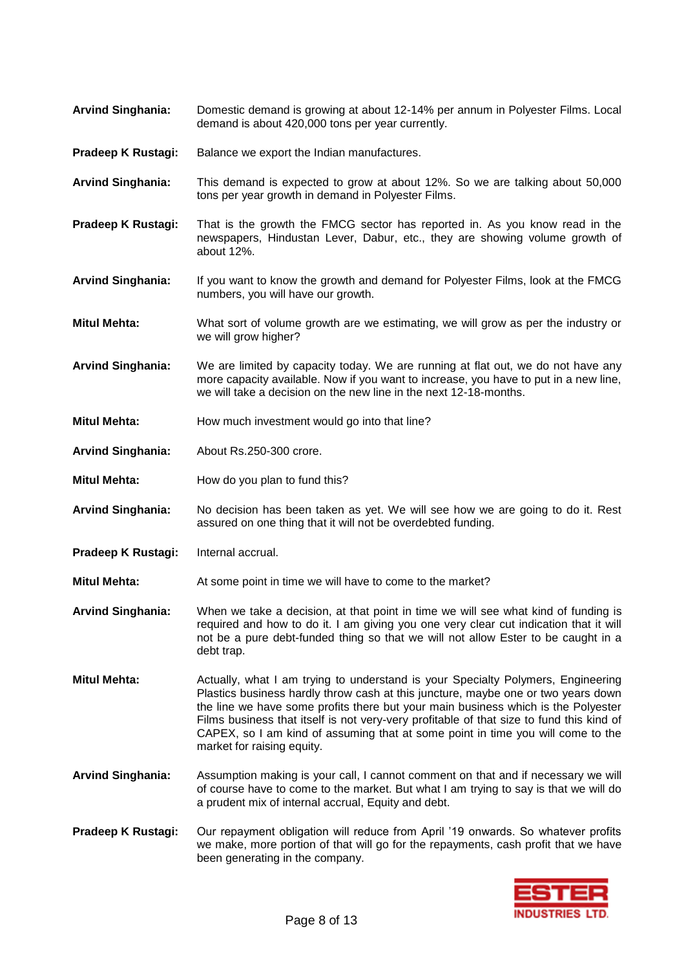- **Arvind Singhania:** Domestic demand is growing at about 12-14% per annum in Polyester Films. Local demand is about 420,000 tons per year currently.
- **Pradeep K Rustagi:** Balance we export the Indian manufactures.
- **Arvind Singhania:** This demand is expected to grow at about 12%. So we are talking about 50,000 tons per year growth in demand in Polyester Films.
- **Pradeep K Rustagi:** That is the growth the FMCG sector has reported in. As you know read in the newspapers, Hindustan Lever, Dabur, etc., they are showing volume growth of about 12%.
- **Arvind Singhania:** If you want to know the growth and demand for Polyester Films, look at the FMCG numbers, you will have our growth.
- **Mitul Mehta:** What sort of volume growth are we estimating, we will grow as per the industry or we will grow higher?
- **Arvind Singhania:** We are limited by capacity today. We are running at flat out, we do not have any more capacity available. Now if you want to increase, you have to put in a new line, we will take a decision on the new line in the next 12-18-months.
- **Mitul Mehta:** How much investment would go into that line?
- **Arvind Singhania:** About Rs.250-300 crore.
- **Mitul Mehta:** How do you plan to fund this?
- **Arvind Singhania:** No decision has been taken as yet. We will see how we are going to do it. Rest assured on one thing that it will not be overdebted funding.
- **Pradeep K Rustagi:** Internal accrual.
- **Mitul Mehta:** At some point in time we will have to come to the market?
- **Arvind Singhania:** When we take a decision, at that point in time we will see what kind of funding is required and how to do it. I am giving you one very clear cut indication that it will not be a pure debt-funded thing so that we will not allow Ester to be caught in a debt trap.
- **Mitul Mehta:** Actually, what I am trying to understand is your Specialty Polymers, Engineering Plastics business hardly throw cash at this juncture, maybe one or two years down the line we have some profits there but your main business which is the Polyester Films business that itself is not very-very profitable of that size to fund this kind of CAPEX, so I am kind of assuming that at some point in time you will come to the market for raising equity.
- **Arvind Singhania:** Assumption making is your call, I cannot comment on that and if necessary we will of course have to come to the market. But what I am trying to say is that we will do a prudent mix of internal accrual, Equity and debt.
- **Pradeep K Rustagi:** Our repayment obligation will reduce from April '19 onwards. So whatever profits we make, more portion of that will go for the repayments, cash profit that we have been generating in the company.

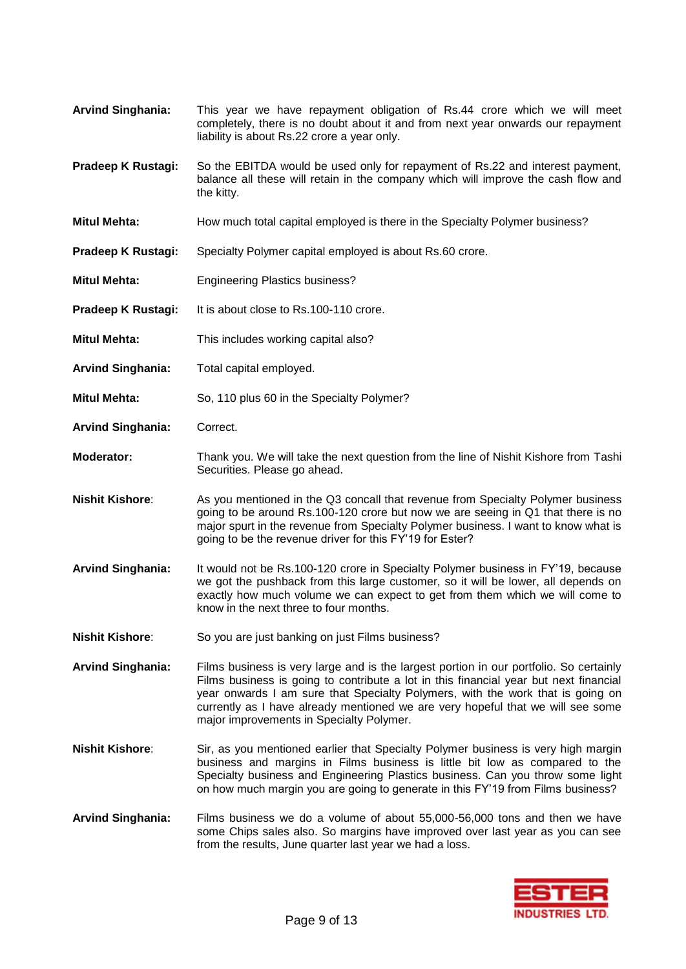- **Arvind Singhania:** This year we have repayment obligation of Rs.44 crore which we will meet completely, there is no doubt about it and from next year onwards our repayment liability is about Rs.22 crore a year only.
- **Pradeep K Rustagi:** So the EBITDA would be used only for repayment of Rs.22 and interest payment, balance all these will retain in the company which will improve the cash flow and the kitty.
- **Mitul Mehta:** How much total capital employed is there in the Specialty Polymer business?
- **Pradeep K Rustagi:** Specialty Polymer capital employed is about Rs.60 crore.
- **Mitul Mehta:** Engineering Plastics business?
- **Pradeep K Rustagi:** It is about close to Rs.100-110 crore.
- **Mitul Mehta:** This includes working capital also?
- **Arvind Singhania:** Total capital employed.
- **Mitul Mehta:** So, 110 plus 60 in the Specialty Polymer?
- **Arvind Singhania:** Correct.
- **Moderator:** Thank you. We will take the next question from the line of Nishit Kishore from Tashi Securities. Please go ahead.
- **Nishit Kishore**: As you mentioned in the Q3 concall that revenue from Specialty Polymer business going to be around Rs.100-120 crore but now we are seeing in Q1 that there is no major spurt in the revenue from Specialty Polymer business. I want to know what is going to be the revenue driver for this FY'19 for Ester?
- **Arvind Singhania:** It would not be Rs.100-120 crore in Specialty Polymer business in FY'19, because we got the pushback from this large customer, so it will be lower, all depends on exactly how much volume we can expect to get from them which we will come to know in the next three to four months.
- **Nishit Kishore**: So you are just banking on just Films business?
- **Arvind Singhania:** Films business is very large and is the largest portion in our portfolio. So certainly Films business is going to contribute a lot in this financial year but next financial year onwards I am sure that Specialty Polymers, with the work that is going on currently as I have already mentioned we are very hopeful that we will see some major improvements in Specialty Polymer.
- **Nishit Kishore**: Sir, as you mentioned earlier that Specialty Polymer business is very high margin business and margins in Films business is little bit low as compared to the Specialty business and Engineering Plastics business. Can you throw some light on how much margin you are going to generate in this FY'19 from Films business?
- **Arvind Singhania:** Films business we do a volume of about 55,000-56,000 tons and then we have some Chips sales also. So margins have improved over last year as you can see from the results, June quarter last year we had a loss.

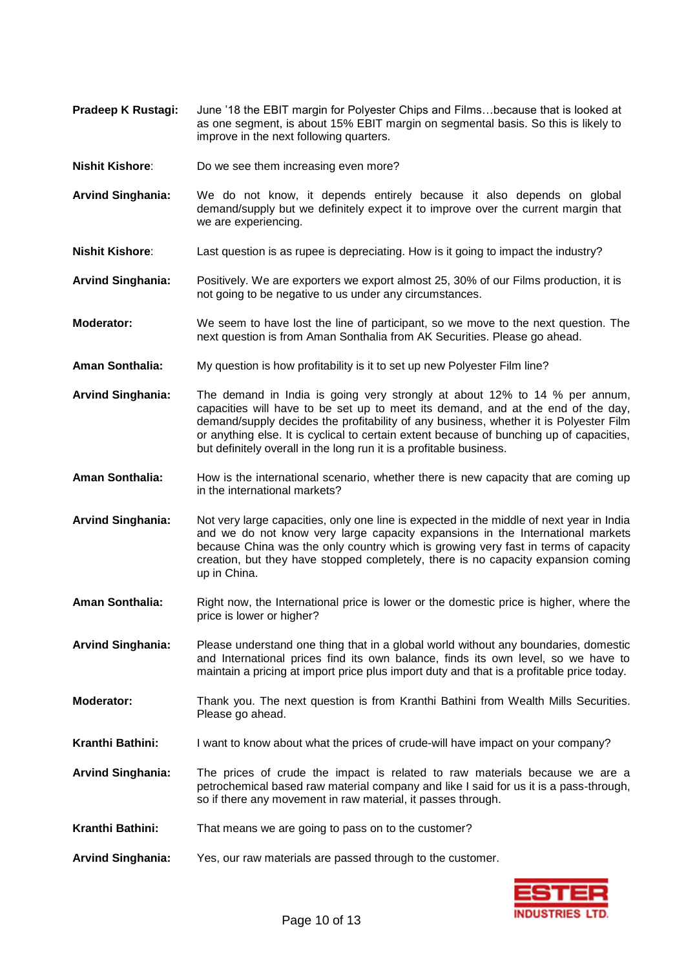- **Pradeep K Rustagi:** June '18 the EBIT margin for Polyester Chips and Films…because that is looked at as one segment, is about 15% EBIT margin on segmental basis. So this is likely to improve in the next following quarters.
- **Nishit Kishore**: Do we see them increasing even more?
- **Arvind Singhania:** We do not know, it depends entirely because it also depends on global demand/supply but we definitely expect it to improve over the current margin that we are experiencing.
- **Nishit Kishore**: Last question is as rupee is depreciating. How is it going to impact the industry?
- **Arvind Singhania:** Positively. We are exporters we export almost 25, 30% of our Films production, it is not going to be negative to us under any circumstances.
- **Moderator:** We seem to have lost the line of participant, so we move to the next question. The next question is from Aman Sonthalia from AK Securities. Please go ahead.
- **Aman Sonthalia:** My question is how profitability is it to set up new Polyester Film line?
- **Arvind Singhania:** The demand in India is going very strongly at about 12% to 14 % per annum, capacities will have to be set up to meet its demand, and at the end of the day, demand/supply decides the profitability of any business, whether it is Polyester Film or anything else. It is cyclical to certain extent because of bunching up of capacities, but definitely overall in the long run it is a profitable business.
- **Aman Sonthalia:** How is the international scenario, whether there is new capacity that are coming up in the international markets?
- **Arvind Singhania:** Not very large capacities, only one line is expected in the middle of next year in India and we do not know very large capacity expansions in the International markets because China was the only country which is growing very fast in terms of capacity creation, but they have stopped completely, there is no capacity expansion coming up in China.
- **Aman Sonthalia:** Right now, the International price is lower or the domestic price is higher, where the price is lower or higher?
- **Arvind Singhania:** Please understand one thing that in a global world without any boundaries, domestic and International prices find its own balance, finds its own level, so we have to maintain a pricing at import price plus import duty and that is a profitable price today.
- **Moderator:** Thank you. The next question is from Kranthi Bathini from Wealth Mills Securities. Please go ahead.
- **Kranthi Bathini:** I want to know about what the prices of crude-will have impact on your company?
- **Arvind Singhania:** The prices of crude the impact is related to raw materials because we are a petrochemical based raw material company and like I said for us it is a pass-through, so if there any movement in raw material, it passes through.
- **Kranthi Bathini:** That means we are going to pass on to the customer?
- **Arvind Singhania:** Yes, our raw materials are passed through to the customer.

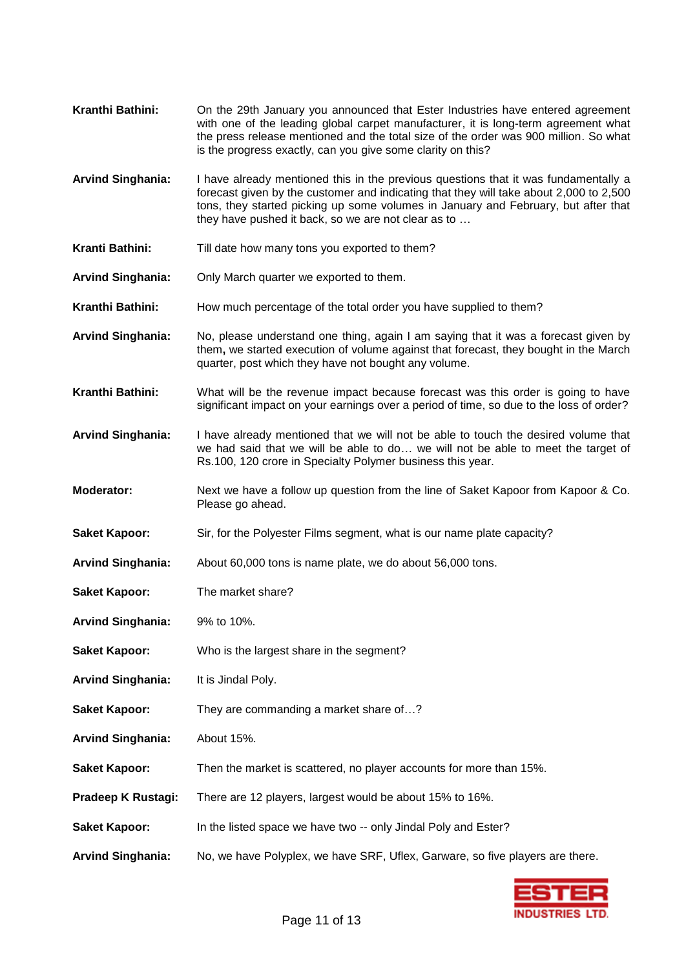- **Kranthi Bathini:** On the 29th January you announced that Ester Industries have entered agreement with one of the leading global carpet manufacturer, it is long-term agreement what the press release mentioned and the total size of the order was 900 million. So what is the progress exactly, can you give some clarity on this?
- **Arvind Singhania:** I have already mentioned this in the previous questions that it was fundamentally a forecast given by the customer and indicating that they will take about 2,000 to 2,500 tons, they started picking up some volumes in January and February, but after that they have pushed it back, so we are not clear as to …
- **Kranti Bathini:** Till date how many tons you exported to them?
- **Arvind Singhania:** Only March quarter we exported to them.
- **Kranthi Bathini:** How much percentage of the total order you have supplied to them?
- **Arvind Singhania:** No, please understand one thing, again I am saying that it was a forecast given by them**,** we started execution of volume against that forecast, they bought in the March quarter, post which they have not bought any volume.
- **Kranthi Bathini:** What will be the revenue impact because forecast was this order is going to have significant impact on your earnings over a period of time, so due to the loss of order?
- **Arvind Singhania:** I have already mentioned that we will not be able to touch the desired volume that we had said that we will be able to do… we will not be able to meet the target of Rs.100, 120 crore in Specialty Polymer business this year.
- **Moderator:** Next we have a follow up question from the line of Saket Kapoor from Kapoor & Co. Please go ahead.
- **Saket Kapoor:** Sir, for the Polyester Films segment, what is our name plate capacity?
- **Arvind Singhania:** About 60,000 tons is name plate, we do about 56,000 tons.
- **Saket Kapoor:** The market share?
- **Arvind Singhania:** 9% to 10%.
- **Saket Kapoor:** Who is the largest share in the segment?
- **Arvind Singhania:** It is Jindal Poly.
- **Saket Kapoor:** They are commanding a market share of…?
- **Arvind Singhania:** About 15%.
- **Saket Kapoor:** Then the market is scattered, no player accounts for more than 15%.
- **Pradeep K Rustagi:** There are 12 players, largest would be about 15% to 16%.
- **Saket Kapoor:** In the listed space we have two -- only Jindal Poly and Ester?
- **Arvind Singhania:** No, we have Polyplex, we have SRF, Uflex, Garware, so five players are there.

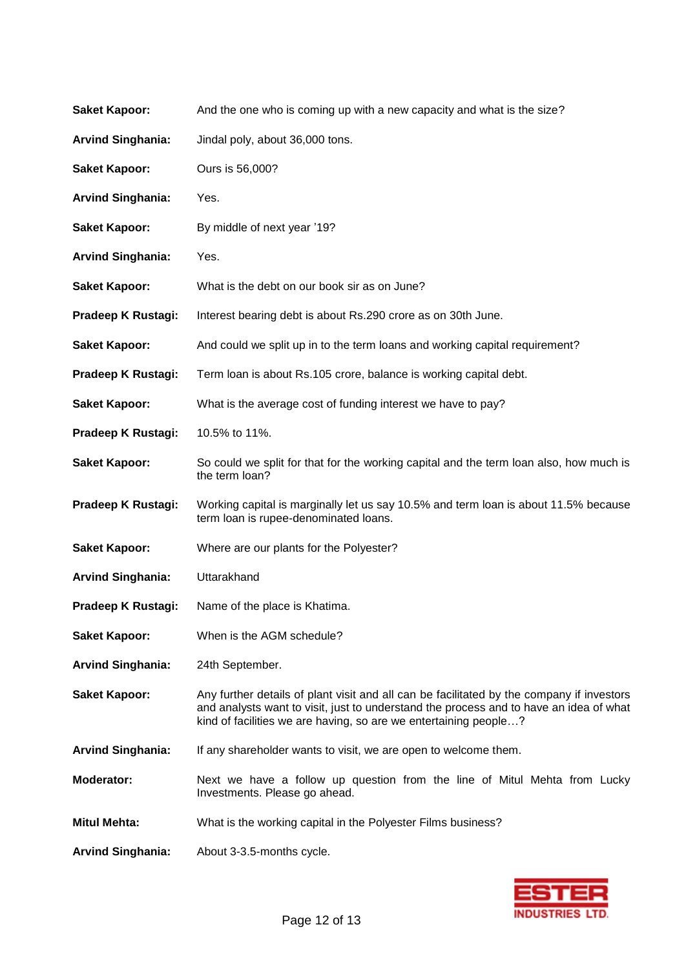| <b>Saket Kapoor:</b>     | And the one who is coming up with a new capacity and what is the size?                                                                                                                                                                                  |  |
|--------------------------|---------------------------------------------------------------------------------------------------------------------------------------------------------------------------------------------------------------------------------------------------------|--|
| <b>Arvind Singhania:</b> | Jindal poly, about 36,000 tons.                                                                                                                                                                                                                         |  |
| <b>Saket Kapoor:</b>     | Ours is 56,000?                                                                                                                                                                                                                                         |  |
| <b>Arvind Singhania:</b> | Yes.                                                                                                                                                                                                                                                    |  |
| <b>Saket Kapoor:</b>     | By middle of next year '19?                                                                                                                                                                                                                             |  |
| <b>Arvind Singhania:</b> | Yes.                                                                                                                                                                                                                                                    |  |
| <b>Saket Kapoor:</b>     | What is the debt on our book sir as on June?                                                                                                                                                                                                            |  |
| Pradeep K Rustagi:       | Interest bearing debt is about Rs.290 crore as on 30th June.                                                                                                                                                                                            |  |
| <b>Saket Kapoor:</b>     | And could we split up in to the term loans and working capital requirement?                                                                                                                                                                             |  |
| Pradeep K Rustagi:       | Term loan is about Rs.105 crore, balance is working capital debt.                                                                                                                                                                                       |  |
| <b>Saket Kapoor:</b>     | What is the average cost of funding interest we have to pay?                                                                                                                                                                                            |  |
| Pradeep K Rustagi:       | 10.5% to 11%.                                                                                                                                                                                                                                           |  |
| <b>Saket Kapoor:</b>     | So could we split for that for the working capital and the term loan also, how much is<br>the term loan?                                                                                                                                                |  |
| Pradeep K Rustagi:       | Working capital is marginally let us say 10.5% and term loan is about 11.5% because<br>term loan is rupee-denominated loans.                                                                                                                            |  |
| <b>Saket Kapoor:</b>     | Where are our plants for the Polyester?                                                                                                                                                                                                                 |  |
| <b>Arvind Singhania:</b> | Uttarakhand                                                                                                                                                                                                                                             |  |
| Pradeep K Rustagi:       | Name of the place is Khatima.                                                                                                                                                                                                                           |  |
| <b>Saket Kapoor:</b>     | When is the AGM schedule?                                                                                                                                                                                                                               |  |
| <b>Arvind Singhania:</b> | 24th September.                                                                                                                                                                                                                                         |  |
| <b>Saket Kapoor:</b>     | Any further details of plant visit and all can be facilitated by the company if investors<br>and analysts want to visit, just to understand the process and to have an idea of what<br>kind of facilities we are having, so are we entertaining people? |  |
| <b>Arvind Singhania:</b> | If any shareholder wants to visit, we are open to welcome them.                                                                                                                                                                                         |  |
| Moderator:               | Next we have a follow up question from the line of Mitul Mehta from Lucky<br>Investments. Please go ahead.                                                                                                                                              |  |
| <b>Mitul Mehta:</b>      | What is the working capital in the Polyester Films business?                                                                                                                                                                                            |  |
| <b>Arvind Singhania:</b> | About 3-3.5-months cycle.                                                                                                                                                                                                                               |  |